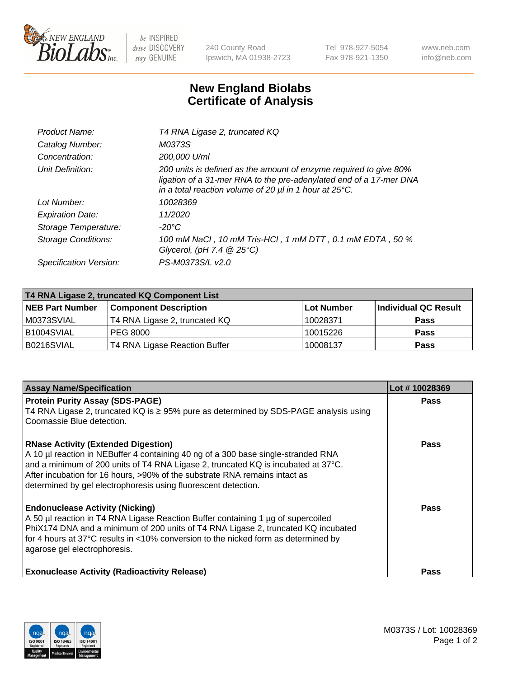

 $be$  INSPIRED drive DISCOVERY stay GENUINE

240 County Road Ipswich, MA 01938-2723 Tel 978-927-5054 Fax 978-921-1350 www.neb.com info@neb.com

## **New England Biolabs Certificate of Analysis**

| Product Name:              | T4 RNA Ligase 2, truncated KQ                                                                                                                                                                                    |
|----------------------------|------------------------------------------------------------------------------------------------------------------------------------------------------------------------------------------------------------------|
| Catalog Number:            | M0373S                                                                                                                                                                                                           |
| Concentration:             | 200,000 U/ml                                                                                                                                                                                                     |
| Unit Definition:           | 200 units is defined as the amount of enzyme required to give 80%<br>ligation of a 31-mer RNA to the pre-adenylated end of a 17-mer DNA<br>in a total reaction volume of 20 $\mu$ l in 1 hour at 25 $\degree$ C. |
| Lot Number:                | 10028369                                                                                                                                                                                                         |
| <b>Expiration Date:</b>    | 11/2020                                                                                                                                                                                                          |
| Storage Temperature:       | $-20^{\circ}$ C                                                                                                                                                                                                  |
| <b>Storage Conditions:</b> | 100 mM NaCl , 10 mM Tris-HCl , 1 mM DTT , 0.1 mM EDTA , 50 %<br>Glycerol, (pH 7.4 $@25°C$ )                                                                                                                      |
| Specification Version:     | PS-M0373S/L v2.0                                                                                                                                                                                                 |

| T4 RNA Ligase 2, truncated KQ Component List |                               |            |                      |  |
|----------------------------------------------|-------------------------------|------------|----------------------|--|
| <b>NEB Part Number</b>                       | <b>Component Description</b>  | Lot Number | Individual QC Result |  |
| M0373SVIAL                                   | T4 RNA Ligase 2, truncated KQ | 10028371   | <b>Pass</b>          |  |
| B1004SVIAL                                   | PEG 8000                      | 10015226   | <b>Pass</b>          |  |
| B0216SVIAL                                   | T4 RNA Ligase Reaction Buffer | 10008137   | <b>Pass</b>          |  |

| <b>Assay Name/Specification</b>                                                                                                                                         | Lot #10028369 |
|-------------------------------------------------------------------------------------------------------------------------------------------------------------------------|---------------|
| <b>Protein Purity Assay (SDS-PAGE)</b><br>T4 RNA Ligase 2, truncated KQ is $\geq$ 95% pure as determined by SDS-PAGE analysis using                                     | <b>Pass</b>   |
| Coomassie Blue detection.                                                                                                                                               |               |
| <b>RNase Activity (Extended Digestion)</b>                                                                                                                              | <b>Pass</b>   |
| A 10 µl reaction in NEBuffer 4 containing 40 ng of a 300 base single-stranded RNA                                                                                       |               |
| and a minimum of 200 units of T4 RNA Ligase 2, truncated KQ is incubated at 37°C.<br>After incubation for 16 hours, >90% of the substrate RNA remains intact as         |               |
| determined by gel electrophoresis using fluorescent detection.                                                                                                          |               |
| <b>Endonuclease Activity (Nicking)</b>                                                                                                                                  | <b>Pass</b>   |
| A 50 µl reaction in T4 RNA Ligase Reaction Buffer containing 1 µg of supercoiled                                                                                        |               |
| PhiX174 DNA and a minimum of 200 units of T4 RNA Ligase 2, truncated KQ incubated<br>for 4 hours at 37°C results in <10% conversion to the nicked form as determined by |               |
| agarose gel electrophoresis.                                                                                                                                            |               |
|                                                                                                                                                                         |               |
| <b>Exonuclease Activity (Radioactivity Release)</b>                                                                                                                     | Pass          |